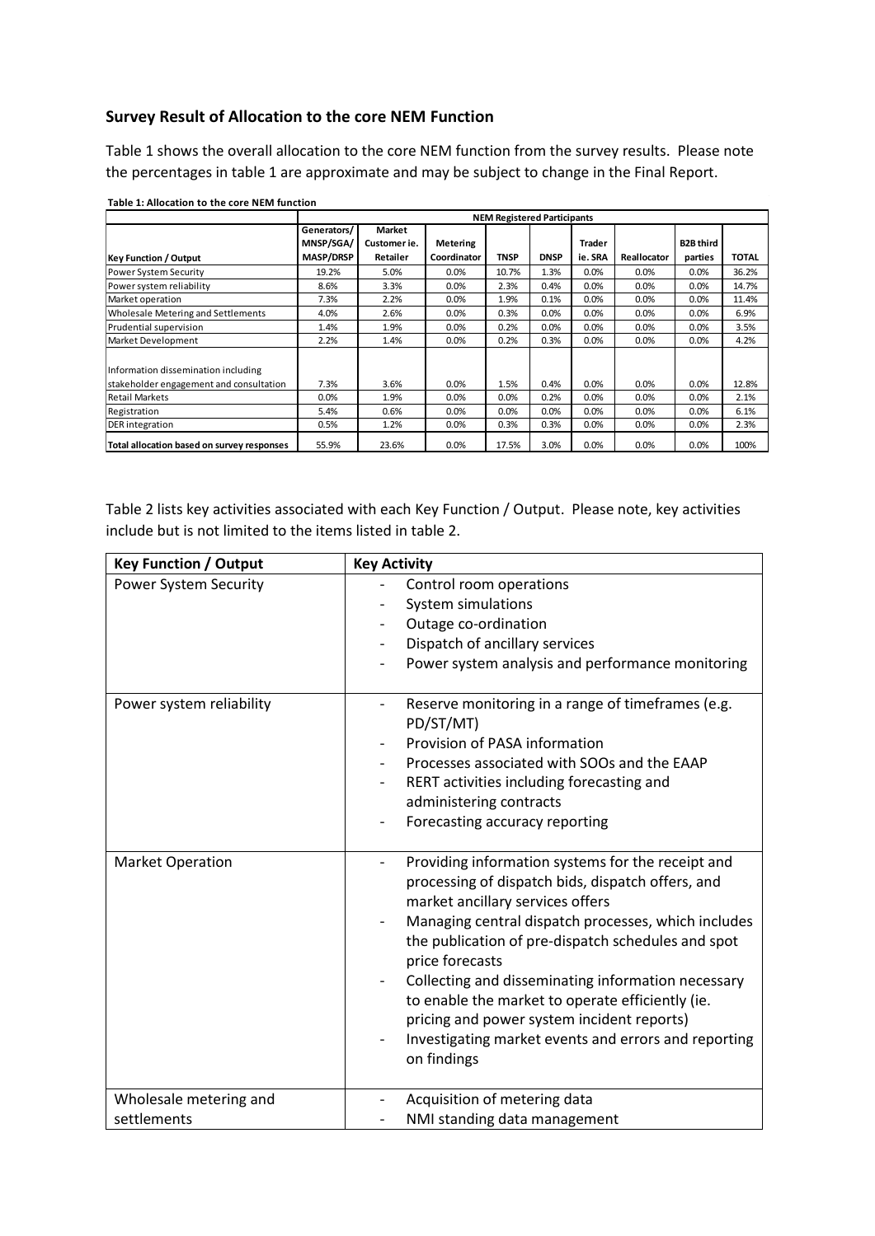## **Survey Result of Allocation to the core NEM Function**

Table 1 shows the overall allocation to the core NEM function from the survey results. Please note the percentages in table 1 are approximate and may be subject to change in the Final Report.

|                                            | <b>NEM Registered Participants</b> |              |                 |             |             |         |             |                  |              |
|--------------------------------------------|------------------------------------|--------------|-----------------|-------------|-------------|---------|-------------|------------------|--------------|
|                                            | Generators/                        | Market       |                 |             |             |         |             |                  |              |
|                                            | MNSP/SGA/                          | Customer ie. | <b>Metering</b> |             |             | Trader  |             | <b>B2B third</b> |              |
| <b>Key Function / Output</b>               | <b>MASP/DRSP</b>                   | Retailer     | Coordinator     | <b>TNSP</b> | <b>DNSP</b> | ie. SRA | Reallocator | parties          | <b>TOTAL</b> |
| <b>Power System Security</b>               | 19.2%                              | 5.0%         | $0.0\%$         | 10.7%       | 1.3%        | 0.0%    | 0.0%        | 0.0%             | 36.2%        |
| Power system reliability                   | 8.6%                               | 3.3%         | 0.0%            | 2.3%        | 0.4%        | 0.0%    | 0.0%        | 0.0%             | 14.7%        |
| Market operation                           | 7.3%                               | 2.2%         | 0.0%            | 1.9%        | 0.1%        | 0.0%    | 0.0%        | 0.0%             | 11.4%        |
| Wholesale Metering and Settlements         | 4.0%                               | 2.6%         | 0.0%            | 0.3%        | 0.0%        | 0.0%    | 0.0%        | 0.0%             | 6.9%         |
| Prudential supervision                     | 1.4%                               | 1.9%         | 0.0%            | 0.2%        | 0.0%        | 0.0%    | 0.0%        | 0.0%             | 3.5%         |
| Market Development                         | 2.2%                               | 1.4%         | 0.0%            | 0.2%        | 0.3%        | 0.0%    | 0.0%        | 0.0%             | 4.2%         |
| Information dissemination including        |                                    |              |                 |             |             |         |             |                  |              |
| stakeholder engagement and consultation    | 7.3%                               | 3.6%         | 0.0%            | 1.5%        | 0.4%        | 0.0%    | 0.0%        | 0.0%             | 12.8%        |
| <b>Retail Markets</b>                      | 0.0%                               | 1.9%         | 0.0%            | 0.0%        | 0.2%        | 0.0%    | $0.0\%$     | 0.0%             | 2.1%         |
| Registration                               | 5.4%                               | 0.6%         | 0.0%            | 0.0%        | 0.0%        | 0.0%    | 0.0%        | 0.0%             | 6.1%         |
| <b>DER</b> integration                     | 0.5%                               | 1.2%         | 0.0%            | 0.3%        | 0.3%        | 0.0%    | 0.0%        | 0.0%             | 2.3%         |
| Total allocation based on survey responses | 55.9%                              | 23.6%        | 0.0%            | 17.5%       | 3.0%        | 0.0%    | 0.0%        | 0.0%             | 100%         |

**Table 1: Allocation to the core NEM function**

Table 2 lists key activities associated with each Key Function / Output. Please note, key activities include but is not limited to the items listed in table 2.

| <b>Key Function / Output</b>          | <b>Key Activity</b>                                                                                                                                                                                                                                                                                                                                                                                                                                                                                                                       |
|---------------------------------------|-------------------------------------------------------------------------------------------------------------------------------------------------------------------------------------------------------------------------------------------------------------------------------------------------------------------------------------------------------------------------------------------------------------------------------------------------------------------------------------------------------------------------------------------|
| Power System Security                 | Control room operations<br>System simulations<br>Outage co-ordination<br>Dispatch of ancillary services<br>Power system analysis and performance monitoring                                                                                                                                                                                                                                                                                                                                                                               |
| Power system reliability              | Reserve monitoring in a range of timeframes (e.g.<br>PD/ST/MT)<br>Provision of PASA information<br>Processes associated with SOOs and the EAAP<br>RERT activities including forecasting and<br>administering contracts<br>Forecasting accuracy reporting                                                                                                                                                                                                                                                                                  |
| <b>Market Operation</b>               | Providing information systems for the receipt and<br>$\qquad \qquad \blacksquare$<br>processing of dispatch bids, dispatch offers, and<br>market ancillary services offers<br>Managing central dispatch processes, which includes<br>the publication of pre-dispatch schedules and spot<br>price forecasts<br>Collecting and disseminating information necessary<br>to enable the market to operate efficiently (ie.<br>pricing and power system incident reports)<br>Investigating market events and errors and reporting<br>on findings |
| Wholesale metering and<br>settlements | Acquisition of metering data<br>NMI standing data management                                                                                                                                                                                                                                                                                                                                                                                                                                                                              |